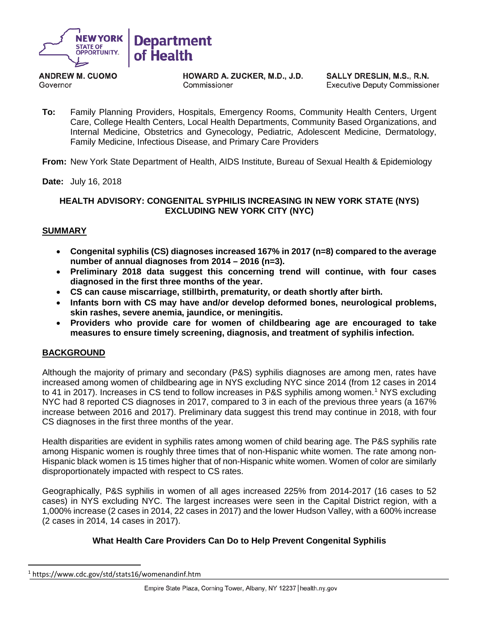

**ANDREW M. CUOMO** Governor

HOWARD A. ZUCKER, M.D., J.D. Commissioner

SALLY DRESLIN, M.S., R.N. **Executive Deputy Commissioner** 

**To:** Family Planning Providers, Hospitals, Emergency Rooms, Community Health Centers, Urgent Care, College Health Centers, Local Health Departments, Community Based Organizations, and Internal Medicine, Obstetrics and Gynecology, Pediatric, Adolescent Medicine, Dermatology, Family Medicine, Infectious Disease, and Primary Care Providers

**From:** New York State Department of Health, AIDS Institute, Bureau of Sexual Health & Epidemiology

**Date:** July 16, 2018

## **HEALTH ADVISORY: CONGENITAL SYPHILIS INCREASING IN NEW YORK STATE (NYS) EXCLUDING NEW YORK CITY (NYC)**

### **SUMMARY**

- **Congenital syphilis (CS) diagnoses increased 167% in 2017 (n=8) compared to the average number of annual diagnoses from 2014 – 2016 (n=3).**
- **Preliminary 2018 data suggest this concerning trend will continue, with four cases diagnosed in the first three months of the year.**
- **CS can cause miscarriage, stillbirth, prematurity, or death shortly after birth.**
- **Infants born with CS may have and/or develop deformed bones, neurological problems, skin rashes, severe anemia, jaundice, or meningitis.**
- **Providers who provide care for women of childbearing age are encouraged to take measures to ensure timely screening, diagnosis, and treatment of syphilis infection.**

## **BACKGROUND**

Although the majority of primary and secondary (P&S) syphilis diagnoses are among men, rates have increased among women of childbearing age in NYS excluding NYC since 2014 (from 12 cases in 2014 to 4[1](#page-0-0) in 2017). Increases in CS tend to follow increases in P&S syphilis among women.<sup>1</sup> NYS excluding NYC had 8 reported CS diagnoses in 2017, compared to 3 in each of the previous three years (a 167% increase between 2016 and 2017). Preliminary data suggest this trend may continue in 2018, with four CS diagnoses in the first three months of the year.

Health disparities are evident in syphilis rates among women of child bearing age. The P&S syphilis rate among Hispanic women is roughly three times that of non-Hispanic white women. The rate among non-Hispanic black women is 15 times higher that of non-Hispanic white women. Women of color are similarly disproportionately impacted with respect to CS rates.

Geographically, P&S syphilis in women of all ages increased 225% from 2014-2017 (16 cases to 52 cases) in NYS excluding NYC. The largest increases were seen in the Capital District region, with a 1,000% increase (2 cases in 2014, 22 cases in 2017) and the lower Hudson Valley, with a 600% increase (2 cases in 2014, 14 cases in 2017).

## **What Health Care Providers Can Do to Help Prevent Congenital Syphilis**

<span id="page-0-0"></span> <sup>1</sup> https://www.cdc.gov/std/stats16/womenandinf.htm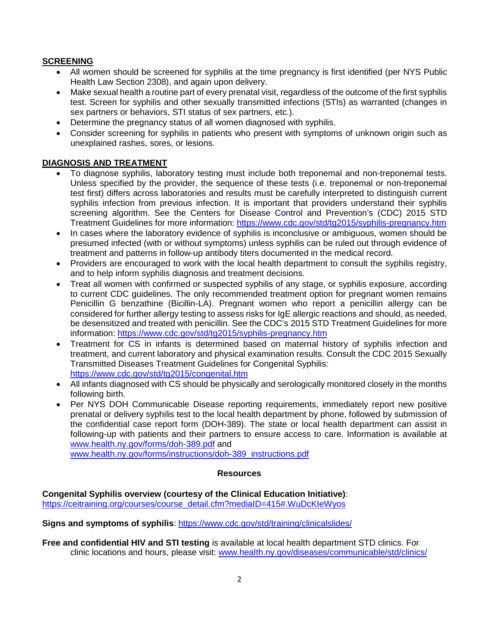# **SCREENING**

- All women should be screened for syphilis at the time pregnancy is first identified (per NYS Public Health Law Section 2308), and again upon delivery.
- Make sexual health a routine part of every prenatal visit, regardless of the outcome of the first syphilis test. Screen for syphilis and other sexually transmitted infections (STIs) as warranted (changes in sex partners or behaviors, STI status of sex partners, etc.).
- Determine the pregnancy status of all women diagnosed with syphilis.
- Consider screening for syphilis in patients who present with symptoms of unknown origin such as unexplained rashes, sores, or lesions.

# **DIAGNOSIS AND TREATMENT**

- To diagnose syphilis, laboratory testing must include both treponemal and non-treponemal tests. Unless specified by the provider, the sequence of these tests (i.e. treponemal or non-treponemal test first) differs across laboratories and results must be carefully interpreted to distinguish current syphilis infection from previous infection. It is important that providers understand their syphilis screening algorithm. See the Centers for Disease Control and Prevention's (CDC) 2015 STD Treatment Guidelines for more information: <https://www.cdc.gov/std/tg2015/syphilis-pregnancy.htm>
- In cases where the laboratory evidence of syphilis is inconclusive or ambiguous, women should be presumed infected (with or without symptoms) unless syphilis can be ruled out through evidence of treatment and patterns in follow-up antibody titers documented in the medical record.
- Providers are encouraged to work with the local health department to consult the syphilis registry, and to help inform syphilis diagnosis and treatment decisions.
- Treat all women with confirmed or suspected syphilis of any stage, or syphilis exposure, according to current CDC guidelines. The only recommended treatment option for pregnant women remains Penicillin G benzathine (Bicillin-LA). Pregnant women who report a penicillin allergy can be considered for further allergy testing to assess risks for IgE allergic reactions and should, as needed, be desensitized and treated with penicillin. See the CDC's 2015 STD Treatment Guidelines for more information: <https://www.cdc.gov/std/tg2015/syphilis-pregnancy.htm>
- Treatment for CS in infants is determined based on maternal history of syphilis infection and treatment, and current laboratory and physical examination results. Consult the CDC 2015 Sexually Transmitted Diseases Treatment Guidelines for Congenital Syphilis: <https://www.cdc.gov/std/tg2015/congenital.htm>
- All infants diagnosed with CS should be physically and serologically monitored closely in the months following birth.
- Per NYS DOH Communicable Disease reporting requirements, immediately report new positive prenatal or delivery syphilis test to the local health department by phone, followed by submission of the confidential case report form (DOH-389). The state or local health department can assist in following-up with patients and their partners to ensure access to care. Information is available at [www.health.ny.gov/forms/doh-389.pdf](http://www.health.ny.gov/forms/doh-389.pdf) and

[www.health.ny.gov/forms/instructions/doh-389\\_instructions.pdf](http://www.health.ny.gov/forms/instructions/doh-389_instructions.pdf)

#### **Resources**

**Congenital Syphilis overview (courtesy of the Clinical Education Initiative)**: [https://ceitraining.org/courses/course\\_detail.cfm?mediaID=415#.WuDcKIeWyos](https://ceitraining.org/courses/course_detail.cfm?mediaID=415#.WuDcKIeWyos)

**Signs and symptoms of syphilis**:<https://www.cdc.gov/std/training/clinicalslides/>

**Free and confidential HIV and STI testing** is available at local health department STD clinics. For clinic locations and hours, please visit: [www.health.ny.gov/diseases/communicable/std/clinics/](http://www.health.ny.gov/diseases/communicable/std/clinics/)